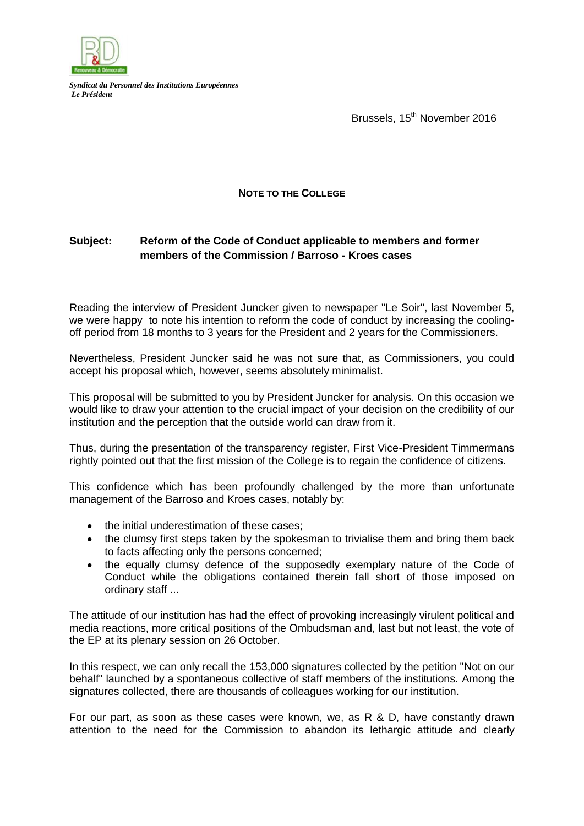

*Syndicat du Personnel des Institutions Européennes Le Président*

Brussels, 15<sup>th</sup> November 2016

## **NOTE TO THE COLLEGE**

## **Subject: Reform of the Code of Conduct applicable to members and former members of the Commission / Barroso - Kroes cases**

Reading the interview of President Juncker given to newspaper "Le Soir", last November 5, we were happy to note his intention to reform the code of conduct by increasing the coolingoff period from 18 months to 3 years for the President and 2 years for the Commissioners.

Nevertheless, President Juncker said he was not sure that, as Commissioners, you could accept his proposal which, however, seems absolutely minimalist.

This proposal will be submitted to you by President Juncker for analysis. On this occasion we would like to draw your attention to the crucial impact of your decision on the credibility of our institution and the perception that the outside world can draw from it.

Thus, during the presentation of the transparency register, First Vice-President Timmermans rightly pointed out that the first mission of the College is to regain the confidence of citizens.

This confidence which has been profoundly challenged by the more than unfortunate management of the Barroso and Kroes cases, notably by:

- the initial underestimation of these cases;
- the clumsy first steps taken by the spokesman to trivialise them and bring them back to facts affecting only the persons concerned;
- the equally clumsy defence of the supposedly exemplary nature of the Code of Conduct while the obligations contained therein fall short of those imposed on ordinary staff ...

The attitude of our institution has had the effect of provoking increasingly virulent political and media reactions, more critical positions of the Ombudsman and, last but not least, the vote of the EP at its plenary session on 26 October.

In this respect, we can only recall the 153,000 signatures collected by the petition "Not on our behalf" launched by a spontaneous collective of staff members of the institutions. Among the signatures collected, there are thousands of colleagues working for our institution.

For our part, as soon as these cases were known, we, as R & D, have constantly drawn attention to the need for the Commission to abandon its lethargic attitude and clearly